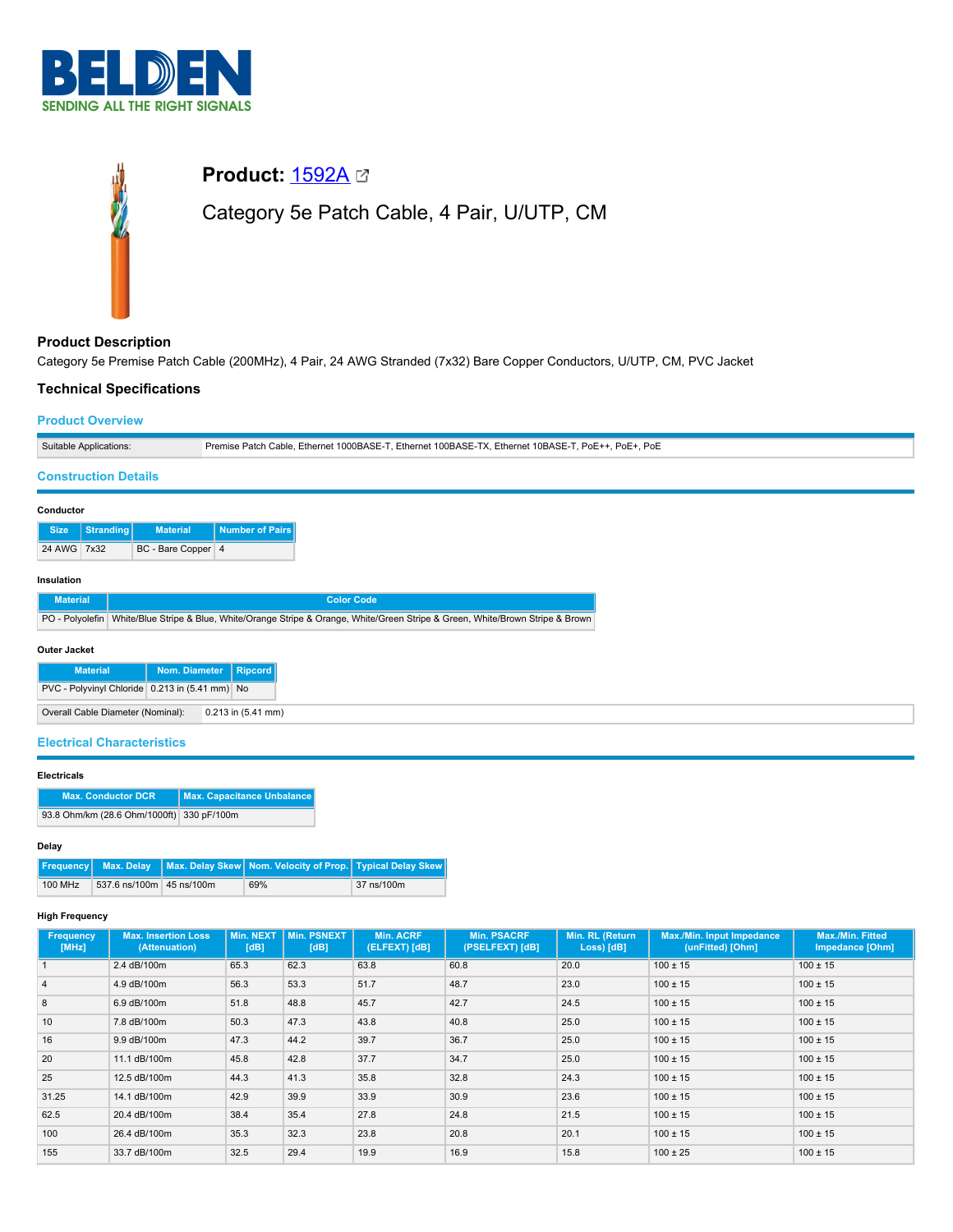

# **Product:** [1592A](https://catalog.belden.com/index.cfm?event=pd&p=PF_1592A&tab=downloads) Category 5e Patch Cable, 4 Pair, U/UTP, CM

# **Product Description**

Category 5e Premise Patch Cable (200MHz), 4 Pair, 24 AWG Stranded (7x32) Bare Copper Conductors, U/UTP, CM, PVC Jacket

# **Technical Specifications**

#### **Product Overview**

| Suitable Applications: | PoF<br>T. Ethernet 100BASE-TX. Ethernet 10BASE-1.<br>$\ldots$ Ethernet 1000BASE-T. $F^*$<br>PoE+<br>iable ت<br>Premise Patch |
|------------------------|------------------------------------------------------------------------------------------------------------------------------|

#### **Construction Details**

| Number of Pairs<br>Stranding<br><b>Material</b><br><b>Size</b><br>24 AWG 7x32 | Conductor |  |  |                    |  |  |  |  |  |
|-------------------------------------------------------------------------------|-----------|--|--|--------------------|--|--|--|--|--|
|                                                                               |           |  |  |                    |  |  |  |  |  |
|                                                                               |           |  |  | BC - Bare Copper 4 |  |  |  |  |  |

# **Insulation**

| <b>Material</b> | <b>Color Code</b>                                                                                                              |
|-----------------|--------------------------------------------------------------------------------------------------------------------------------|
|                 | PO - Polyolefin White/Blue Stripe & Blue, White/Orange Stripe & Orange, White/Green Stripe & Green, White/Brown Stripe & Brown |

#### **Outer Jacket**

| <b>Material</b>                                | Nom. Diameter   Ripcord |                        |
|------------------------------------------------|-------------------------|------------------------|
| PVC - Polyvinyl Chloride 0.213 in (5.41 mm) No |                         |                        |
| Overall Cable Diameter (Nominal):              |                         | $0.213$ in $(5.41$ mm) |

#### **Electrical Characteristics**

#### **Electricals**

| <b>Max. Conductor DCR</b>                 | Max. Capacitance Unbalance |
|-------------------------------------------|----------------------------|
| 93.8 Ohm/km (28.6 Ohm/1000ft) 330 pF/100m |                            |

#### **Delay**

| Frequency Max. Delay Max. Delay Skew Nom. Velocity of Prop. Typical Delay Skew |                                     |  |     |            |
|--------------------------------------------------------------------------------|-------------------------------------|--|-----|------------|
|                                                                                | 100 MHz<br>537.6 ns/100m 45 ns/100m |  | 69% | 37 ns/100m |

#### **High Frequency**

| <b>Frequency</b><br>[MHz] | <b>Max. Insertion Loss</b><br>(Attenuation) | Min. NEXT  <br>[dB] | Min. PSNEXT<br>[dB] | <b>Min. ACRF</b><br>(ELFEXT) [dB] | <b>Min. PSACRF</b><br>(PSELFEXT) [dB] | Min. RL (Return<br>Loss) [dB] | <b>Max./Min. Input Impedance</b><br>(unFitted) [Ohm] | <b>Max./Min. Fitted</b><br>Impedance [Ohm] |
|---------------------------|---------------------------------------------|---------------------|---------------------|-----------------------------------|---------------------------------------|-------------------------------|------------------------------------------------------|--------------------------------------------|
|                           | 2.4 dB/100m                                 | 65.3                | 62.3                | 63.8                              | 60.8                                  | 20.0                          | $100 \pm 15$                                         | $100 \pm 15$                               |
| $\overline{4}$            | 4.9 dB/100m                                 | 56.3                | 53.3                | 51.7                              | 48.7                                  | 23.0                          | $100 \pm 15$                                         | $100 \pm 15$                               |
| 8                         | 6.9 dB/100m                                 | 51.8                | 48.8                | 45.7                              | 42.7                                  | 24.5                          | $100 \pm 15$                                         | $100 \pm 15$                               |
| 10                        | 7.8 dB/100m                                 | 50.3                | 47.3                | 43.8                              | 40.8                                  | 25.0                          | $100 \pm 15$                                         | $100 \pm 15$                               |
| 16                        | 9.9 dB/100m                                 | 47.3                | 44.2                | 39.7                              | 36.7                                  | 25.0                          | $100 \pm 15$                                         | $100 \pm 15$                               |
| 20                        | 11.1 dB/100m                                | 45.8                | 42.8                | 37.7                              | 34.7                                  | 25.0                          | $100 \pm 15$                                         | $100 \pm 15$                               |
| 25                        | 12.5 dB/100m                                | 44.3                | 41.3                | 35.8                              | 32.8                                  | 24.3                          | $100 \pm 15$                                         | $100 \pm 15$                               |
| 31.25                     | 14.1 dB/100m                                | 42.9                | 39.9                | 33.9                              | 30.9                                  | 23.6                          | $100 \pm 15$                                         | $100 \pm 15$                               |
| 62.5                      | 20.4 dB/100m                                | 38.4                | 35.4                | 27.8                              | 24.8                                  | 21.5                          | $100 \pm 15$                                         | $100 \pm 15$                               |
| 100                       | 26.4 dB/100m                                | 35.3                | 32.3                | 23.8                              | 20.8                                  | 20.1                          | $100 \pm 15$                                         | $100 \pm 15$                               |
| 155                       | 33.7 dB/100m                                | 32.5                | 29.4                | 19.9                              | 16.9                                  | 15.8                          | $100 \pm 25$                                         | $100 \pm 15$                               |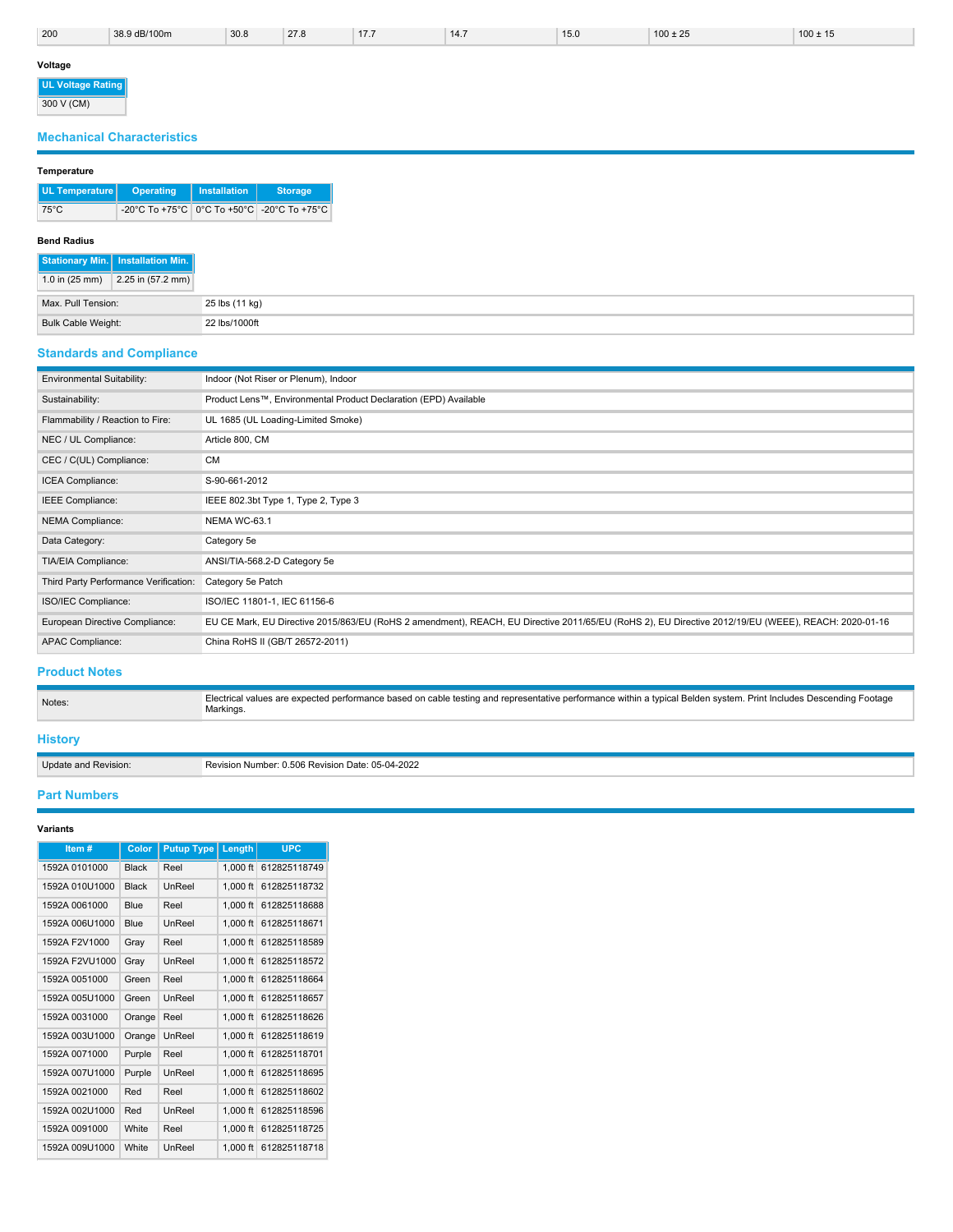| 200                             | 38.9 dB/100m | 30.8 | 27.8 | 17.7 | 14.7 | 15.0 | $100 \pm 25$ | $100 \pm 15$ |
|---------------------------------|--------------|------|------|------|------|------|--------------|--------------|
| Voltage                         |              |      |      |      |      |      |              |              |
| UL Voltage Rating<br>300 V (CM) |              |      |      |      |      |      |              |              |

# **Mechanical Characteristics**

# **Temperature**

| UL Temperature   Operating |                                            | Installation | <b>Storage</b> |
|----------------------------|--------------------------------------------|--------------|----------------|
| 75°C                       | -20°C To +75°C 0°C To +50°C -20°C To +75°C |              |                |

# **Bend Radius**

|                          | Stationary Min.   Installation Min. |
|--------------------------|-------------------------------------|
| 1.0 in $(25 \text{ mm})$ | $2.25$ in (57.2 mm)                 |
| Max. Pull Tension:       |                                     |
| Bulk Cable Weight:       |                                     |

# **Standards and Compliance**

| <b>Environmental Suitability:</b>     | Indoor (Not Riser or Plenum), Indoor                                                                                                                |
|---------------------------------------|-----------------------------------------------------------------------------------------------------------------------------------------------------|
| Sustainability:                       | Product Lens™, Environmental Product Declaration (EPD) Available                                                                                    |
| Flammability / Reaction to Fire:      | UL 1685 (UL Loading-Limited Smoke)                                                                                                                  |
| NEC / UL Compliance:                  | Article 800, CM                                                                                                                                     |
| CEC / C(UL) Compliance:               | <b>CM</b>                                                                                                                                           |
| ICEA Compliance:                      | S-90-661-2012                                                                                                                                       |
| IEEE Compliance:                      | IEEE 802.3bt Type 1, Type 2, Type 3                                                                                                                 |
| <b>NEMA Compliance:</b>               | NEMA WC-63.1                                                                                                                                        |
| Data Category:                        | Category 5e                                                                                                                                         |
| TIA/EIA Compliance:                   | ANSI/TIA-568.2-D Category 5e                                                                                                                        |
| Third Party Performance Verification: | Category 5e Patch                                                                                                                                   |
| ISO/IEC Compliance:                   | ISO/IEC 11801-1, IEC 61156-6                                                                                                                        |
| European Directive Compliance:        | EU CE Mark, EU Directive 2015/863/EU (RoHS 2 amendment), REACH, EU Directive 2011/65/EU (RoHS 2), EU Directive 2012/19/EU (WEEE), REACH: 2020-01-16 |
| <b>APAC Compliance:</b>               | China RoHS II (GB/T 26572-2011)                                                                                                                     |

# **Product Notes**

Electrical values are expected performance based on cable testing and representative performance within a typical Belden system. Print Includes Descending Footage Markings.

# **History**

Update and Revision: Revision Number: 0.506 Revision Date: 05-04-2022

# **Part Numbers**

# **Variants**

| Item#          | Color        | <b>Putup Type</b> | Length     | <b>UPC</b>   |
|----------------|--------------|-------------------|------------|--------------|
| 1592A 0101000  | <b>Black</b> | Reel              | $1.000$ ft | 612825118749 |
| 1592A 010U1000 | <b>Black</b> | UnReel            | $1.000$ ft | 612825118732 |
| 1592A 0061000  | <b>Blue</b>  | Reel              | $1.000$ ft | 612825118688 |
| 1592A 006U1000 | <b>Blue</b>  | <b>UnReel</b>     | $1,000$ ft | 612825118671 |
| 1592A F2V1000  | Gray         | Reel              | $1.000$ ft | 612825118589 |
| 1592A F2VU1000 | Gray         | UnReel            | $1.000$ ft | 612825118572 |
| 1592A 0051000  | Green        | Reel              | $1.000$ ft | 612825118664 |
| 1592A 005U1000 | Green        | <b>UnReel</b>     | $1.000$ ft | 612825118657 |
| 1592A 0031000  | Orange       | Reel              | $1.000$ ft | 612825118626 |
| 1592A 003U1000 | Orange       | UnReel            | $1.000$ ft | 612825118619 |
| 1592A 0071000  | Purple       | Reel              | $1.000$ ft | 612825118701 |
| 1592A 007U1000 | Purple       | UnReel            | $1.000$ ft | 612825118695 |
| 1592A 0021000  | Red          | Reel              | $1.000$ ft | 612825118602 |
| 1592A 002U1000 | Red          | UnReel            | $1,000$ ft | 612825118596 |
| 1592A 0091000  | White        | Reel              | $1.000$ ft | 612825118725 |
| 1592A 009U1000 | White        | UnReel            | $1.000$ ft | 612825118718 |